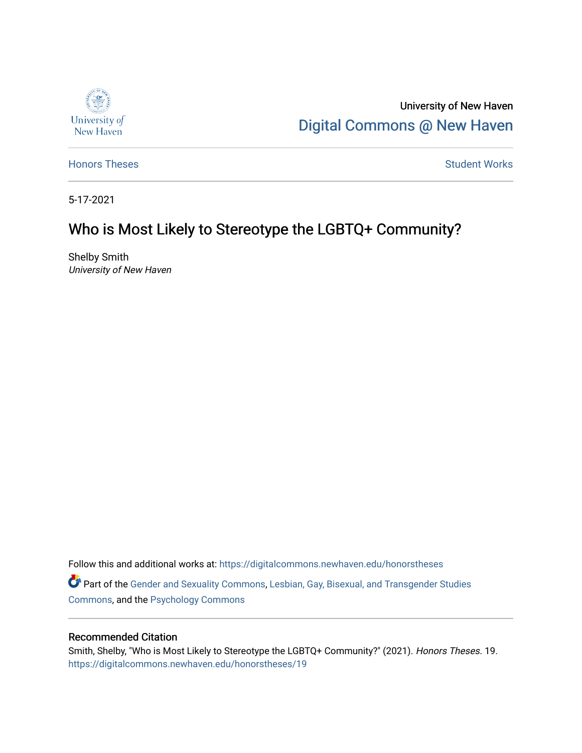

University of New Haven [Digital Commons @ New Haven](https://digitalcommons.newhaven.edu/) 

[Honors Theses](https://digitalcommons.newhaven.edu/honorstheses) **Student Works** [Student Works](https://digitalcommons.newhaven.edu/studentworks) **Student Works** 

5-17-2021

## Who is Most Likely to Stereotype the LGBTQ+ Community?

Shelby Smith University of New Haven

Follow this and additional works at: [https://digitalcommons.newhaven.edu/honorstheses](https://digitalcommons.newhaven.edu/honorstheses?utm_source=digitalcommons.newhaven.edu%2Fhonorstheses%2F19&utm_medium=PDF&utm_campaign=PDFCoverPages)  Part of the [Gender and Sexuality Commons](http://network.bepress.com/hgg/discipline/420?utm_source=digitalcommons.newhaven.edu%2Fhonorstheses%2F19&utm_medium=PDF&utm_campaign=PDFCoverPages), [Lesbian, Gay, Bisexual, and Transgender Studies](http://network.bepress.com/hgg/discipline/560?utm_source=digitalcommons.newhaven.edu%2Fhonorstheses%2F19&utm_medium=PDF&utm_campaign=PDFCoverPages) [Commons](http://network.bepress.com/hgg/discipline/560?utm_source=digitalcommons.newhaven.edu%2Fhonorstheses%2F19&utm_medium=PDF&utm_campaign=PDFCoverPages), and the [Psychology Commons](http://network.bepress.com/hgg/discipline/404?utm_source=digitalcommons.newhaven.edu%2Fhonorstheses%2F19&utm_medium=PDF&utm_campaign=PDFCoverPages) 

#### Recommended Citation

Smith, Shelby, "Who is Most Likely to Stereotype the LGBTQ+ Community?" (2021). Honors Theses. 19. [https://digitalcommons.newhaven.edu/honorstheses/19](https://digitalcommons.newhaven.edu/honorstheses/19?utm_source=digitalcommons.newhaven.edu%2Fhonorstheses%2F19&utm_medium=PDF&utm_campaign=PDFCoverPages)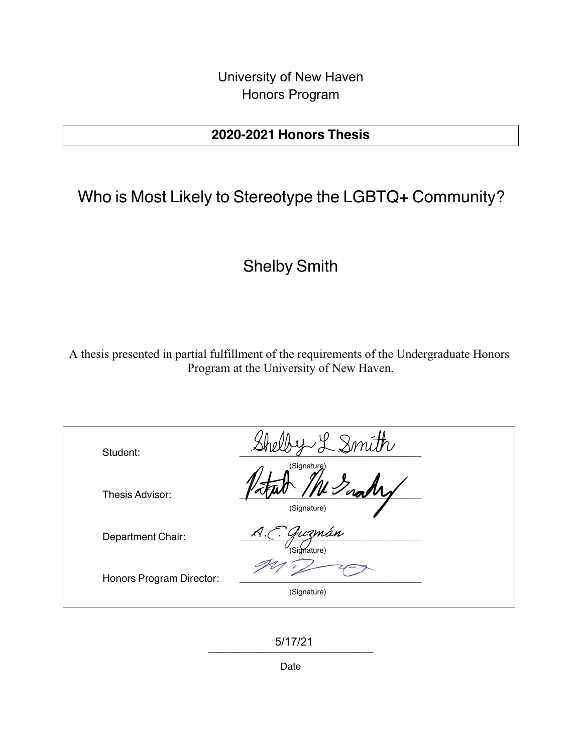University of New Haven Honors Program

## 2020-2021 Honors Thesis

# Who is Most Likely to Stereotype the LGBTQ+ Community?

## Shelby Smith

A thesis presented in partial fulfillment of the requirements of the Undergraduate Honors Program at the University of New Haven.

| Student:                 | Qmith                                   |  |
|--------------------------|-----------------------------------------|--|
| Thesis Advisor:          | (Signaturg)<br>(Signature)              |  |
| Department Chair:        | Guzmán<br>$\mathcal{A}.$<br>(Signature) |  |
| Honors Program Director: | (Signature)                             |  |

\_\_\_\_\_\_\_\_\_\_\_\_\_\_\_\_\_\_\_\_\_\_\_\_\_\_\_\_\_\_\_\_\_ 5/17/21

Date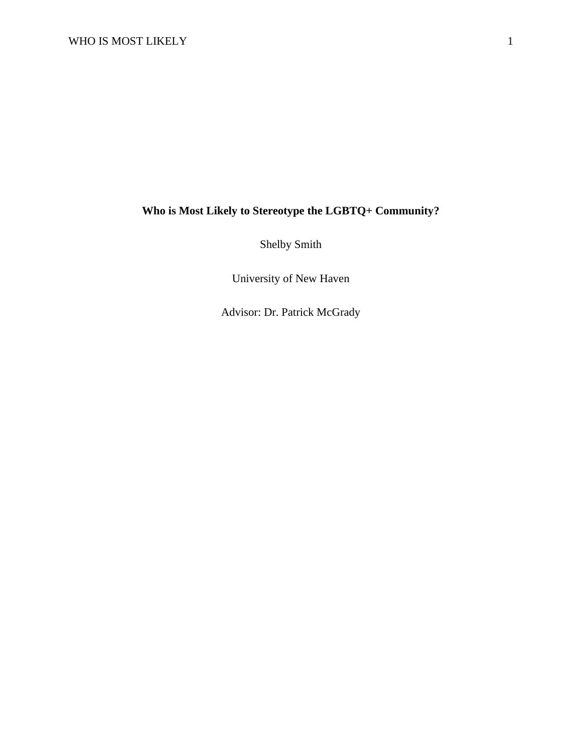### **Who is Most Likely to Stereotype the LGBTQ+ Community?**

Shelby Smith

University of New Haven

Advisor: Dr. Patrick McGrady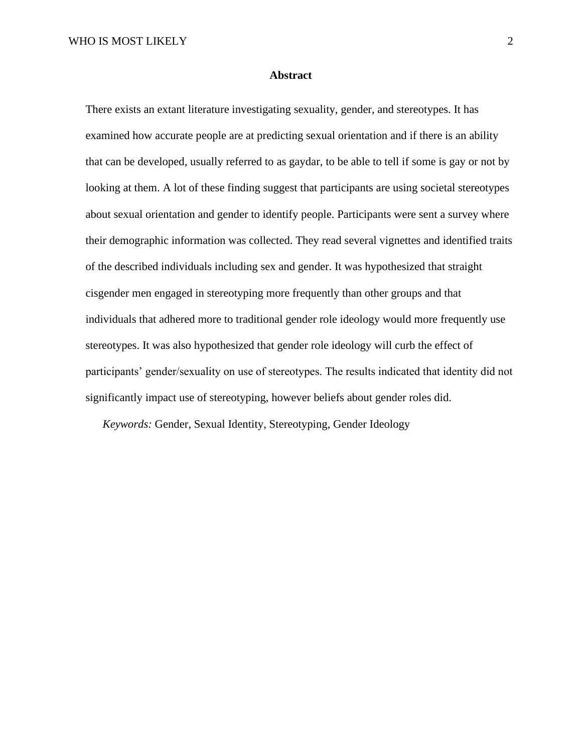#### **Abstract**

There exists an extant literature investigating sexuality, gender, and stereotypes. It has examined how accurate people are at predicting sexual orientation and if there is an ability that can be developed, usually referred to as gaydar, to be able to tell if some is gay or not by looking at them. A lot of these finding suggest that participants are using societal stereotypes about sexual orientation and gender to identify people. Participants were sent a survey where their demographic information was collected. They read several vignettes and identified traits of the described individuals including sex and gender. It was hypothesized that straight cisgender men engaged in stereotyping more frequently than other groups and that individuals that adhered more to traditional gender role ideology would more frequently use stereotypes. It was also hypothesized that gender role ideology will curb the effect of participants' gender/sexuality on use of stereotypes. The results indicated that identity did not significantly impact use of stereotyping, however beliefs about gender roles did.

*Keywords:* Gender, Sexual Identity, Stereotyping, Gender Ideology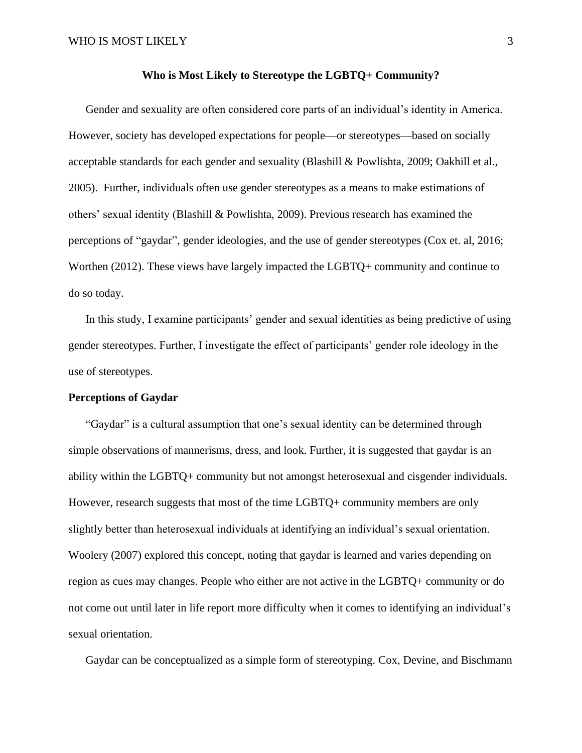#### **Who is Most Likely to Stereotype the LGBTQ+ Community?**

Gender and sexuality are often considered core parts of an individual's identity in America. However, society has developed expectations for people—or stereotypes—based on socially acceptable standards for each gender and sexuality (Blashill & Powlishta, 2009; Oakhill et al., 2005). Further, individuals often use gender stereotypes as a means to make estimations of others' sexual identity (Blashill & Powlishta, 2009). Previous research has examined the perceptions of "gaydar", gender ideologies, and the use of gender stereotypes (Cox et. al, 2016; Worthen (2012). These views have largely impacted the LGBTQ+ community and continue to do so today.

In this study, I examine participants' gender and sexual identities as being predictive of using gender stereotypes. Further, I investigate the effect of participants' gender role ideology in the use of stereotypes.

#### **Perceptions of Gaydar**

"Gaydar" is a cultural assumption that one's sexual identity can be determined through simple observations of mannerisms, dress, and look. Further, it is suggested that gaydar is an ability within the LGBTQ+ community but not amongst heterosexual and cisgender individuals. However, research suggests that most of the time LGBTQ+ community members are only slightly better than heterosexual individuals at identifying an individual's sexual orientation. Woolery (2007) explored this concept, noting that gaydar is learned and varies depending on region as cues may changes. People who either are not active in the LGBTQ+ community or do not come out until later in life report more difficulty when it comes to identifying an individual's sexual orientation.

Gaydar can be conceptualized as a simple form of stereotyping. Cox, Devine, and Bischmann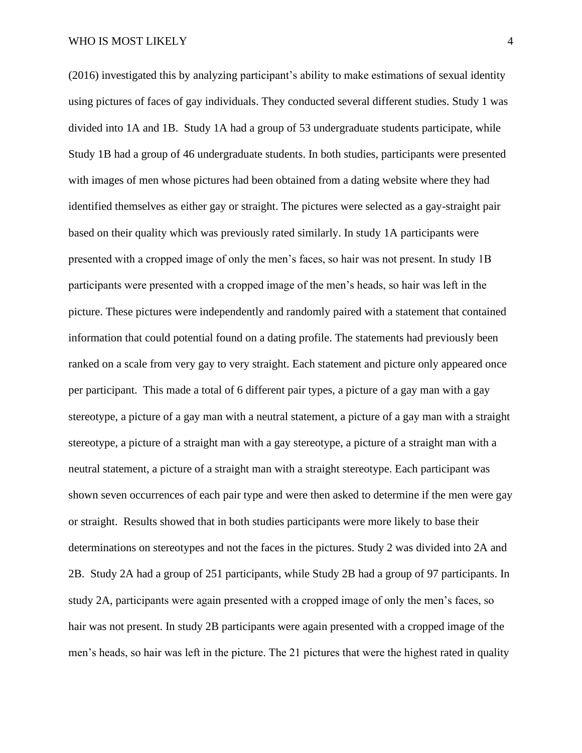(2016) investigated this by analyzing participant's ability to make estimations of sexual identity using pictures of faces of gay individuals. They conducted several different studies. Study 1 was divided into 1A and 1B. Study 1A had a group of 53 undergraduate students participate, while Study 1B had a group of 46 undergraduate students. In both studies, participants were presented with images of men whose pictures had been obtained from a dating website where they had identified themselves as either gay or straight. The pictures were selected as a gay-straight pair based on their quality which was previously rated similarly. In study 1A participants were presented with a cropped image of only the men's faces, so hair was not present. In study 1B participants were presented with a cropped image of the men's heads, so hair was left in the picture. These pictures were independently and randomly paired with a statement that contained information that could potential found on a dating profile. The statements had previously been ranked on a scale from very gay to very straight. Each statement and picture only appeared once per participant. This made a total of 6 different pair types, a picture of a gay man with a gay stereotype, a picture of a gay man with a neutral statement, a picture of a gay man with a straight stereotype, a picture of a straight man with a gay stereotype, a picture of a straight man with a neutral statement, a picture of a straight man with a straight stereotype. Each participant was shown seven occurrences of each pair type and were then asked to determine if the men were gay or straight. Results showed that in both studies participants were more likely to base their determinations on stereotypes and not the faces in the pictures. Study 2 was divided into 2A and 2B. Study 2A had a group of 251 participants, while Study 2B had a group of 97 participants. In study 2A, participants were again presented with a cropped image of only the men's faces, so hair was not present. In study 2B participants were again presented with a cropped image of the men's heads, so hair was left in the picture. The 21 pictures that were the highest rated in quality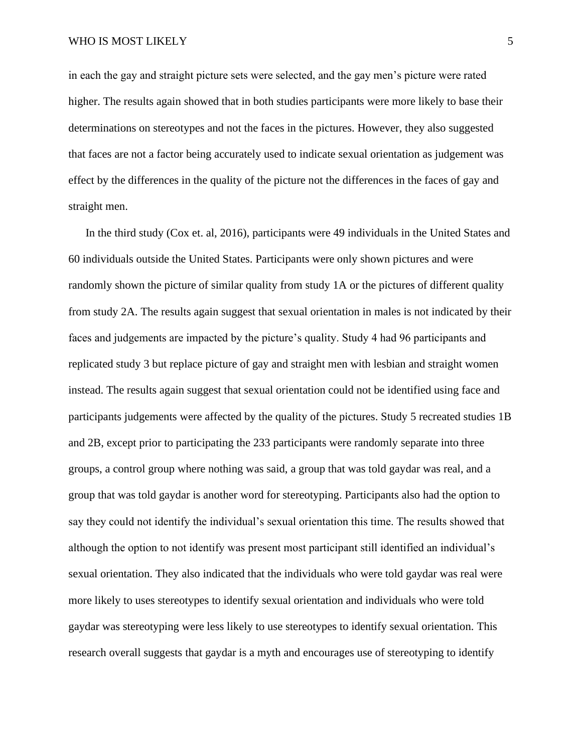in each the gay and straight picture sets were selected, and the gay men's picture were rated higher. The results again showed that in both studies participants were more likely to base their determinations on stereotypes and not the faces in the pictures. However, they also suggested that faces are not a factor being accurately used to indicate sexual orientation as judgement was effect by the differences in the quality of the picture not the differences in the faces of gay and straight men.

In the third study (Cox et. al, 2016), participants were 49 individuals in the United States and 60 individuals outside the United States. Participants were only shown pictures and were randomly shown the picture of similar quality from study 1A or the pictures of different quality from study 2A. The results again suggest that sexual orientation in males is not indicated by their faces and judgements are impacted by the picture's quality. Study 4 had 96 participants and replicated study 3 but replace picture of gay and straight men with lesbian and straight women instead. The results again suggest that sexual orientation could not be identified using face and participants judgements were affected by the quality of the pictures. Study 5 recreated studies 1B and 2B, except prior to participating the 233 participants were randomly separate into three groups, a control group where nothing was said, a group that was told gaydar was real, and a group that was told gaydar is another word for stereotyping. Participants also had the option to say they could not identify the individual's sexual orientation this time. The results showed that although the option to not identify was present most participant still identified an individual's sexual orientation. They also indicated that the individuals who were told gaydar was real were more likely to uses stereotypes to identify sexual orientation and individuals who were told gaydar was stereotyping were less likely to use stereotypes to identify sexual orientation. This research overall suggests that gaydar is a myth and encourages use of stereotyping to identify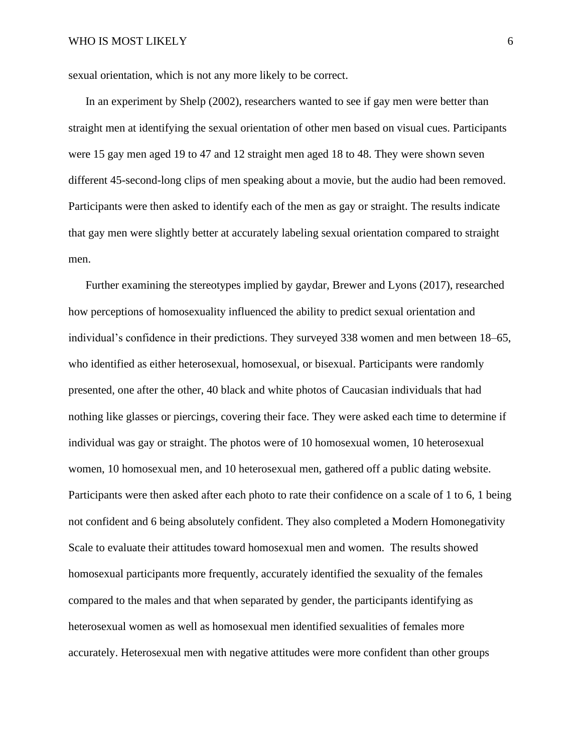sexual orientation, which is not any more likely to be correct.

In an experiment by Shelp (2002), researchers wanted to see if gay men were better than straight men at identifying the sexual orientation of other men based on visual cues. Participants were 15 gay men aged 19 to 47 and 12 straight men aged 18 to 48. They were shown seven different 45-second-long clips of men speaking about a movie, but the audio had been removed. Participants were then asked to identify each of the men as gay or straight. The results indicate that gay men were slightly better at accurately labeling sexual orientation compared to straight men.

Further examining the stereotypes implied by gaydar, Brewer and Lyons (2017), researched how perceptions of homosexuality influenced the ability to predict sexual orientation and individual's confidence in their predictions. They surveyed 338 women and men between 18–65, who identified as either heterosexual, homosexual, or bisexual. Participants were randomly presented, one after the other, 40 black and white photos of Caucasian individuals that had nothing like glasses or piercings, covering their face. They were asked each time to determine if individual was gay or straight. The photos were of 10 homosexual women, 10 heterosexual women, 10 homosexual men, and 10 heterosexual men, gathered off a public dating website. Participants were then asked after each photo to rate their confidence on a scale of 1 to 6, 1 being not confident and 6 being absolutely confident. They also completed a Modern Homonegativity Scale to evaluate their attitudes toward homosexual men and women. The results showed homosexual participants more frequently, accurately identified the sexuality of the females compared to the males and that when separated by gender, the participants identifying as heterosexual women as well as homosexual men identified sexualities of females more accurately. Heterosexual men with negative attitudes were more confident than other groups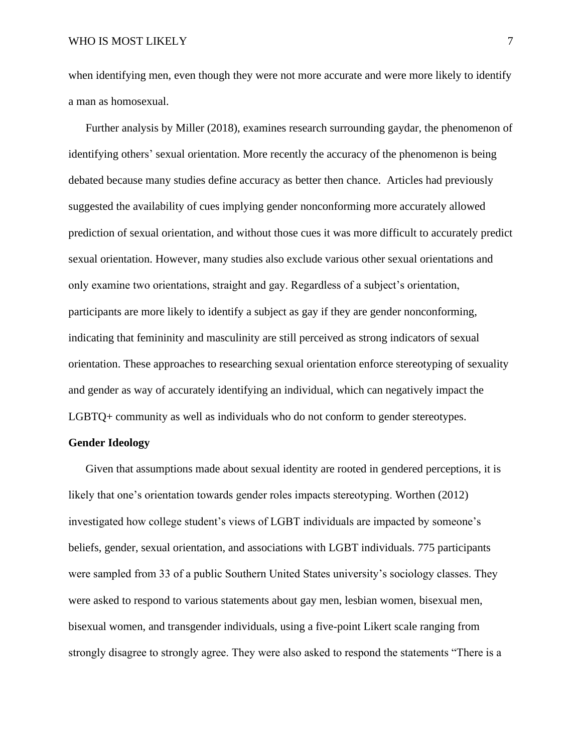when identifying men, even though they were not more accurate and were more likely to identify a man as homosexual.

Further analysis by Miller (2018), examines research surrounding gaydar, the phenomenon of identifying others' sexual orientation. More recently the accuracy of the phenomenon is being debated because many studies define accuracy as better then chance. Articles had previously suggested the availability of cues implying gender nonconforming more accurately allowed prediction of sexual orientation, and without those cues it was more difficult to accurately predict sexual orientation. However, many studies also exclude various other sexual orientations and only examine two orientations, straight and gay. Regardless of a subject's orientation, participants are more likely to identify a subject as gay if they are gender nonconforming, indicating that femininity and masculinity are still perceived as strong indicators of sexual orientation. These approaches to researching sexual orientation enforce stereotyping of sexuality and gender as way of accurately identifying an individual, which can negatively impact the LGBTQ+ community as well as individuals who do not conform to gender stereotypes.

#### **Gender Ideology**

Given that assumptions made about sexual identity are rooted in gendered perceptions, it is likely that one's orientation towards gender roles impacts stereotyping. Worthen (2012) investigated how college student's views of LGBT individuals are impacted by someone's beliefs, gender, sexual orientation, and associations with LGBT individuals. 775 participants were sampled from 33 of a public Southern United States university's sociology classes. They were asked to respond to various statements about gay men, lesbian women, bisexual men, bisexual women, and transgender individuals, using a five-point Likert scale ranging from strongly disagree to strongly agree. They were also asked to respond the statements "There is a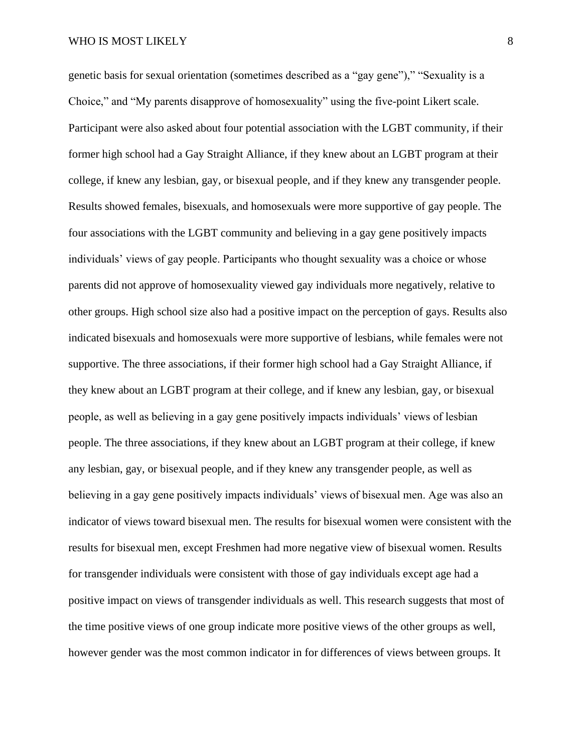genetic basis for sexual orientation (sometimes described as a "gay gene")," "Sexuality is a Choice," and "My parents disapprove of homosexuality" using the five-point Likert scale. Participant were also asked about four potential association with the LGBT community, if their former high school had a Gay Straight Alliance, if they knew about an LGBT program at their college, if knew any lesbian, gay, or bisexual people, and if they knew any transgender people. Results showed females, bisexuals, and homosexuals were more supportive of gay people. The four associations with the LGBT community and believing in a gay gene positively impacts individuals' views of gay people. Participants who thought sexuality was a choice or whose parents did not approve of homosexuality viewed gay individuals more negatively, relative to other groups. High school size also had a positive impact on the perception of gays. Results also indicated bisexuals and homosexuals were more supportive of lesbians, while females were not supportive. The three associations, if their former high school had a Gay Straight Alliance, if they knew about an LGBT program at their college, and if knew any lesbian, gay, or bisexual people, as well as believing in a gay gene positively impacts individuals' views of lesbian people. The three associations, if they knew about an LGBT program at their college, if knew any lesbian, gay, or bisexual people, and if they knew any transgender people, as well as believing in a gay gene positively impacts individuals' views of bisexual men. Age was also an indicator of views toward bisexual men. The results for bisexual women were consistent with the results for bisexual men, except Freshmen had more negative view of bisexual women. Results for transgender individuals were consistent with those of gay individuals except age had a positive impact on views of transgender individuals as well. This research suggests that most of the time positive views of one group indicate more positive views of the other groups as well, however gender was the most common indicator in for differences of views between groups. It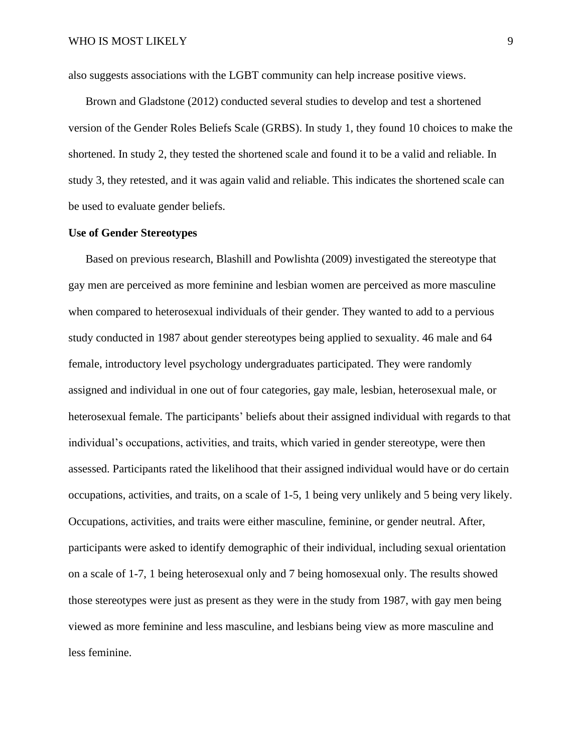also suggests associations with the LGBT community can help increase positive views.

Brown and Gladstone (2012) conducted several studies to develop and test a shortened version of the Gender Roles Beliefs Scale (GRBS). In study 1, they found 10 choices to make the shortened. In study 2, they tested the shortened scale and found it to be a valid and reliable. In study 3, they retested, and it was again valid and reliable. This indicates the shortened scale can be used to evaluate gender beliefs.

#### **Use of Gender Stereotypes**

Based on previous research, Blashill and Powlishta (2009) investigated the stereotype that gay men are perceived as more feminine and lesbian women are perceived as more masculine when compared to heterosexual individuals of their gender. They wanted to add to a pervious study conducted in 1987 about gender stereotypes being applied to sexuality. 46 male and 64 female, introductory level psychology undergraduates participated. They were randomly assigned and individual in one out of four categories, gay male, lesbian, heterosexual male, or heterosexual female. The participants' beliefs about their assigned individual with regards to that individual's occupations, activities, and traits, which varied in gender stereotype, were then assessed. Participants rated the likelihood that their assigned individual would have or do certain occupations, activities, and traits, on a scale of 1-5, 1 being very unlikely and 5 being very likely. Occupations, activities, and traits were either masculine, feminine, or gender neutral. After, participants were asked to identify demographic of their individual, including sexual orientation on a scale of 1-7, 1 being heterosexual only and 7 being homosexual only. The results showed those stereotypes were just as present as they were in the study from 1987, with gay men being viewed as more feminine and less masculine, and lesbians being view as more masculine and less feminine.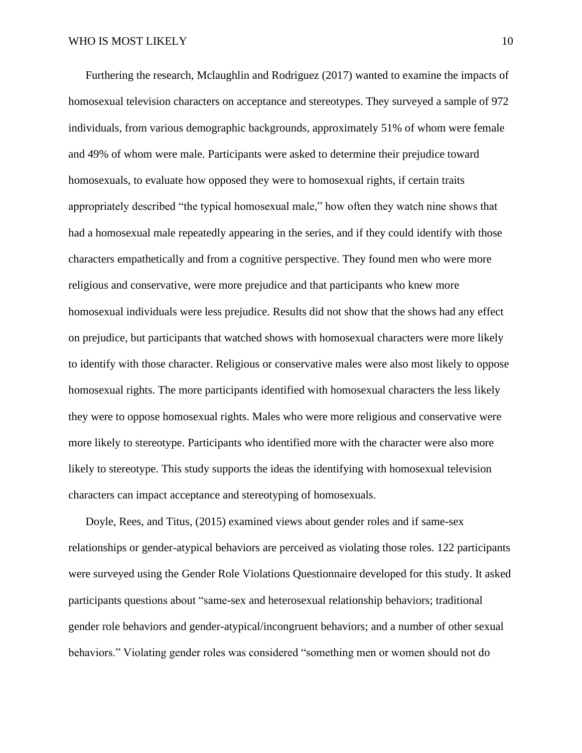Furthering the research, Mclaughlin and Rodriguez (2017) wanted to examine the impacts of homosexual television characters on acceptance and stereotypes. They surveyed a sample of 972 individuals, from various demographic backgrounds, approximately 51% of whom were female and 49% of whom were male. Participants were asked to determine their prejudice toward homosexuals, to evaluate how opposed they were to homosexual rights, if certain traits appropriately described "the typical homosexual male," how often they watch nine shows that had a homosexual male repeatedly appearing in the series, and if they could identify with those characters empathetically and from a cognitive perspective. They found men who were more religious and conservative, were more prejudice and that participants who knew more homosexual individuals were less prejudice. Results did not show that the shows had any effect on prejudice, but participants that watched shows with homosexual characters were more likely to identify with those character. Religious or conservative males were also most likely to oppose homosexual rights. The more participants identified with homosexual characters the less likely they were to oppose homosexual rights. Males who were more religious and conservative were more likely to stereotype. Participants who identified more with the character were also more likely to stereotype. This study supports the ideas the identifying with homosexual television characters can impact acceptance and stereotyping of homosexuals.

Doyle, Rees, and Titus, (2015) examined views about gender roles and if same-sex relationships or gender-atypical behaviors are perceived as violating those roles. 122 participants were surveyed using the Gender Role Violations Questionnaire developed for this study. It asked participants questions about "same-sex and heterosexual relationship behaviors; traditional gender role behaviors and gender-atypical/incongruent behaviors; and a number of other sexual behaviors." Violating gender roles was considered "something men or women should not do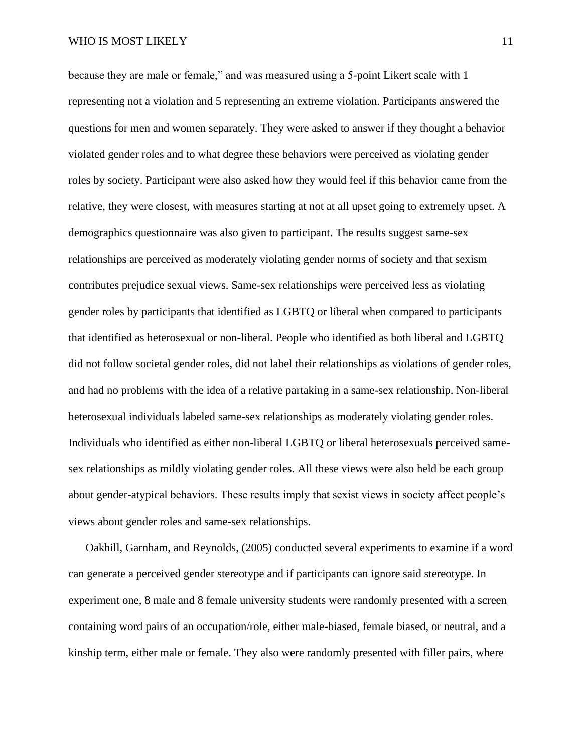because they are male or female," and was measured using a 5-point Likert scale with 1 representing not a violation and 5 representing an extreme violation. Participants answered the questions for men and women separately. They were asked to answer if they thought a behavior violated gender roles and to what degree these behaviors were perceived as violating gender roles by society. Participant were also asked how they would feel if this behavior came from the relative, they were closest, with measures starting at not at all upset going to extremely upset. A demographics questionnaire was also given to participant. The results suggest same-sex relationships are perceived as moderately violating gender norms of society and that sexism contributes prejudice sexual views. Same-sex relationships were perceived less as violating gender roles by participants that identified as LGBTQ or liberal when compared to participants that identified as heterosexual or non-liberal. People who identified as both liberal and LGBTQ did not follow societal gender roles, did not label their relationships as violations of gender roles, and had no problems with the idea of a relative partaking in a same-sex relationship. Non-liberal heterosexual individuals labeled same-sex relationships as moderately violating gender roles. Individuals who identified as either non-liberal LGBTQ or liberal heterosexuals perceived samesex relationships as mildly violating gender roles. All these views were also held be each group about gender-atypical behaviors. These results imply that sexist views in society affect people's views about gender roles and same-sex relationships.

Oakhill, Garnham, and Reynolds, (2005) conducted several experiments to examine if a word can generate a perceived gender stereotype and if participants can ignore said stereotype. In experiment one, 8 male and 8 female university students were randomly presented with a screen containing word pairs of an occupation/role, either male-biased, female biased, or neutral, and a kinship term, either male or female. They also were randomly presented with filler pairs, where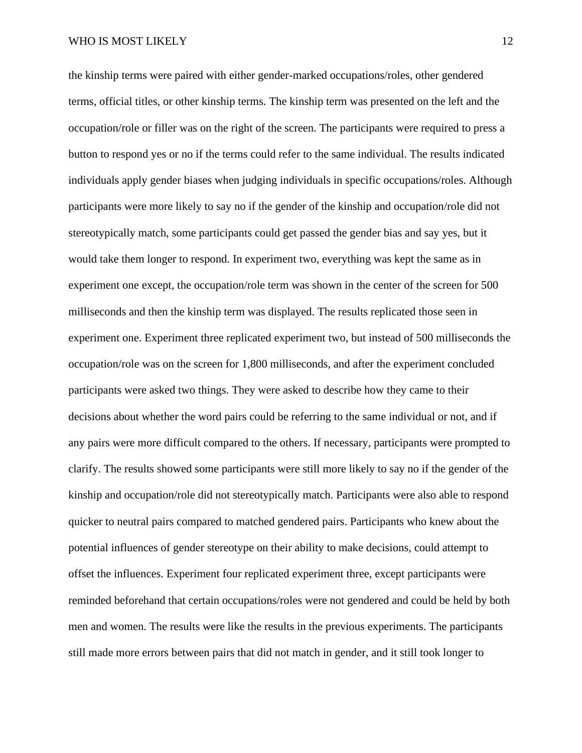the kinship terms were paired with either gender-marked occupations/roles, other gendered terms, official titles, or other kinship terms. The kinship term was presented on the left and the occupation/role or filler was on the right of the screen. The participants were required to press a button to respond yes or no if the terms could refer to the same individual. The results indicated individuals apply gender biases when judging individuals in specific occupations/roles. Although participants were more likely to say no if the gender of the kinship and occupation/role did not stereotypically match, some participants could get passed the gender bias and say yes, but it would take them longer to respond. In experiment two, everything was kept the same as in experiment one except, the occupation/role term was shown in the center of the screen for 500 milliseconds and then the kinship term was displayed. The results replicated those seen in experiment one. Experiment three replicated experiment two, but instead of 500 milliseconds the occupation/role was on the screen for 1,800 milliseconds, and after the experiment concluded participants were asked two things. They were asked to describe how they came to their decisions about whether the word pairs could be referring to the same individual or not, and if any pairs were more difficult compared to the others. If necessary, participants were prompted to clarify. The results showed some participants were still more likely to say no if the gender of the kinship and occupation/role did not stereotypically match. Participants were also able to respond quicker to neutral pairs compared to matched gendered pairs. Participants who knew about the potential influences of gender stereotype on their ability to make decisions, could attempt to offset the influences. Experiment four replicated experiment three, except participants were reminded beforehand that certain occupations/roles were not gendered and could be held by both men and women. The results were like the results in the previous experiments. The participants still made more errors between pairs that did not match in gender, and it still took longer to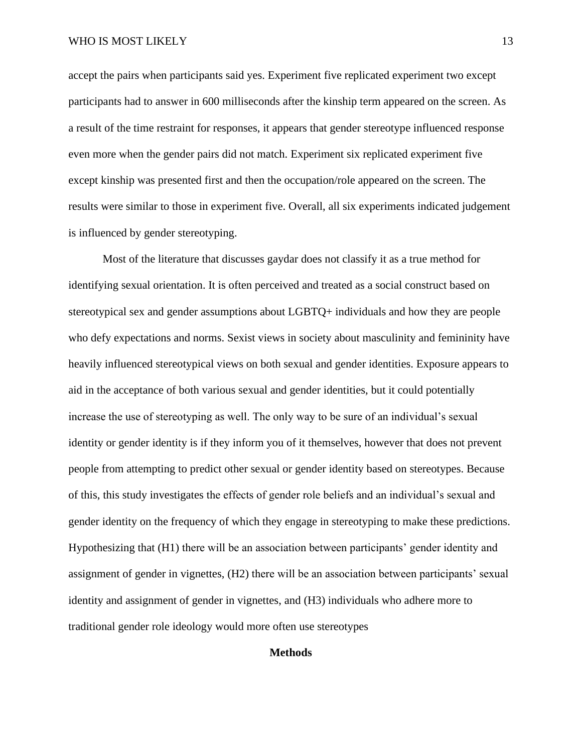accept the pairs when participants said yes. Experiment five replicated experiment two except participants had to answer in 600 milliseconds after the kinship term appeared on the screen. As a result of the time restraint for responses, it appears that gender stereotype influenced response even more when the gender pairs did not match. Experiment six replicated experiment five except kinship was presented first and then the occupation/role appeared on the screen. The results were similar to those in experiment five. Overall, all six experiments indicated judgement is influenced by gender stereotyping.

Most of the literature that discusses gaydar does not classify it as a true method for identifying sexual orientation. It is often perceived and treated as a social construct based on stereotypical sex and gender assumptions about LGBTQ+ individuals and how they are people who defy expectations and norms. Sexist views in society about masculinity and femininity have heavily influenced stereotypical views on both sexual and gender identities. Exposure appears to aid in the acceptance of both various sexual and gender identities, but it could potentially increase the use of stereotyping as well. The only way to be sure of an individual's sexual identity or gender identity is if they inform you of it themselves, however that does not prevent people from attempting to predict other sexual or gender identity based on stereotypes. Because of this, this study investigates the effects of gender role beliefs and an individual's sexual and gender identity on the frequency of which they engage in stereotyping to make these predictions. Hypothesizing that (H1) there will be an association between participants' gender identity and assignment of gender in vignettes, (H2) there will be an association between participants' sexual identity and assignment of gender in vignettes, and (H3) individuals who adhere more to traditional gender role ideology would more often use stereotypes

#### **Methods**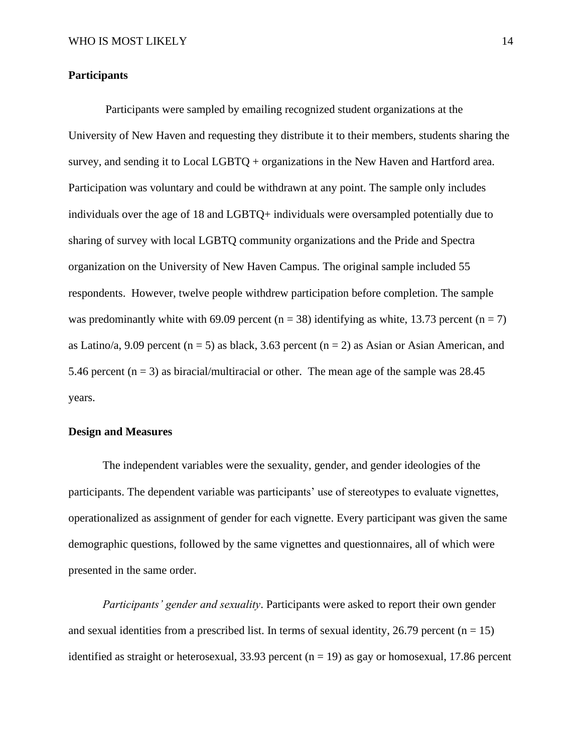#### **Participants**

Participants were sampled by emailing recognized student organizations at the University of New Haven and requesting they distribute it to their members, students sharing the survey, and sending it to Local LGBTQ + organizations in the New Haven and Hartford area. Participation was voluntary and could be withdrawn at any point. The sample only includes individuals over the age of 18 and LGBTQ+ individuals were oversampled potentially due to sharing of survey with local LGBTQ community organizations and the Pride and Spectra organization on the University of New Haven Campus. The original sample included 55 respondents. However, twelve people withdrew participation before completion. The sample was predominantly white with 69.09 percent (n = 38) identifying as white, 13.73 percent (n = 7) as Latino/a, 9.09 percent (n = 5) as black, 3.63 percent (n = 2) as Asian or Asian American, and 5.46 percent  $(n = 3)$  as biracial/multiracial or other. The mean age of the sample was 28.45 years.

#### **Design and Measures**

The independent variables were the sexuality, gender, and gender ideologies of the participants. The dependent variable was participants' use of stereotypes to evaluate vignettes, operationalized as assignment of gender for each vignette. Every participant was given the same demographic questions, followed by the same vignettes and questionnaires, all of which were presented in the same order.

*Participants' gender and sexuality*. Participants were asked to report their own gender and sexual identities from a prescribed list. In terms of sexual identity, 26.79 percent ( $n = 15$ ) identified as straight or heterosexual, 33.93 percent ( $n = 19$ ) as gay or homosexual, 17.86 percent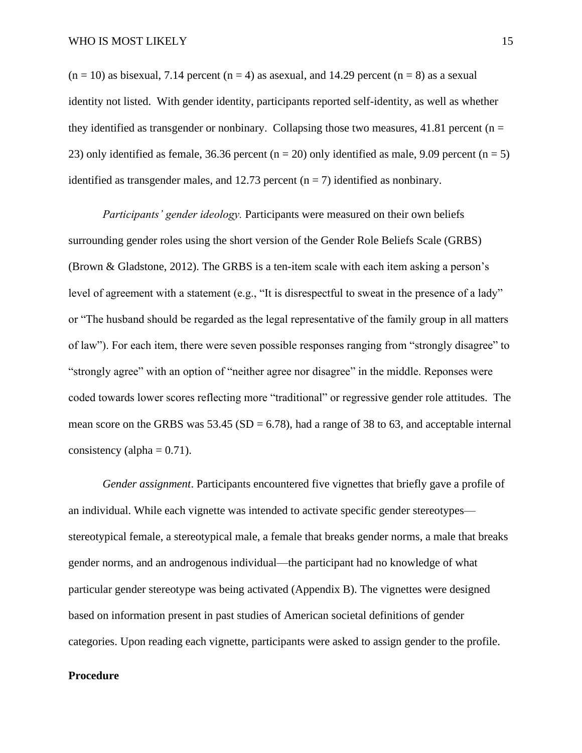$(n = 10)$  as bisexual, 7.14 percent  $(n = 4)$  as asexual, and 14.29 percent  $(n = 8)$  as a sexual identity not listed. With gender identity, participants reported self-identity, as well as whether they identified as transgender or nonbinary. Collapsing those two measures, 41.81 percent ( $n =$ 23) only identified as female, 36.36 percent ( $n = 20$ ) only identified as male, 9.09 percent ( $n = 5$ ) identified as transgender males, and 12.73 percent  $(n = 7)$  identified as nonbinary.

*Participants' gender ideology.* Participants were measured on their own beliefs surrounding gender roles using the short version of the Gender Role Beliefs Scale (GRBS) (Brown & Gladstone, 2012). The GRBS is a ten-item scale with each item asking a person's level of agreement with a statement (e.g., "It is disrespectful to sweat in the presence of a lady" or "The husband should be regarded as the legal representative of the family group in all matters of law"). For each item, there were seven possible responses ranging from "strongly disagree" to "strongly agree" with an option of "neither agree nor disagree" in the middle. Reponses were coded towards lower scores reflecting more "traditional" or regressive gender role attitudes. The mean score on the GRBS was  $53.45$  (SD = 6.78), had a range of 38 to 63, and acceptable internal consistency (alpha  $= 0.71$ ).

*Gender assignment*. Participants encountered five vignettes that briefly gave a profile of an individual. While each vignette was intended to activate specific gender stereotypes stereotypical female, a stereotypical male, a female that breaks gender norms, a male that breaks gender norms, and an androgenous individual—the participant had no knowledge of what particular gender stereotype was being activated (Appendix B). The vignettes were designed based on information present in past studies of American societal definitions of gender categories. Upon reading each vignette, participants were asked to assign gender to the profile.

#### **Procedure**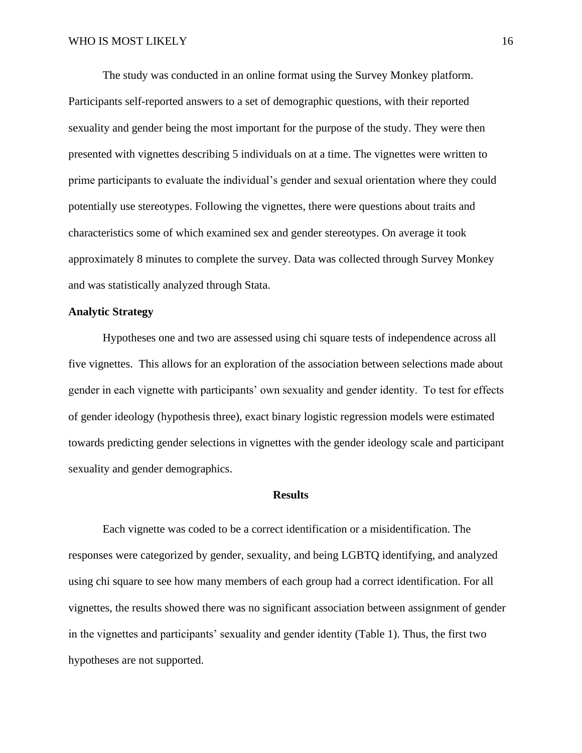The study was conducted in an online format using the Survey Monkey platform. Participants self-reported answers to a set of demographic questions, with their reported sexuality and gender being the most important for the purpose of the study. They were then presented with vignettes describing 5 individuals on at a time. The vignettes were written to prime participants to evaluate the individual's gender and sexual orientation where they could potentially use stereotypes. Following the vignettes, there were questions about traits and characteristics some of which examined sex and gender stereotypes. On average it took approximately 8 minutes to complete the survey. Data was collected through Survey Monkey and was statistically analyzed through Stata.

#### **Analytic Strategy**

Hypotheses one and two are assessed using chi square tests of independence across all five vignettes. This allows for an exploration of the association between selections made about gender in each vignette with participants' own sexuality and gender identity. To test for effects of gender ideology (hypothesis three), exact binary logistic regression models were estimated towards predicting gender selections in vignettes with the gender ideology scale and participant sexuality and gender demographics.

#### **Results**

Each vignette was coded to be a correct identification or a misidentification. The responses were categorized by gender, sexuality, and being LGBTQ identifying, and analyzed using chi square to see how many members of each group had a correct identification. For all vignettes, the results showed there was no significant association between assignment of gender in the vignettes and participants' sexuality and gender identity (Table 1). Thus, the first two hypotheses are not supported.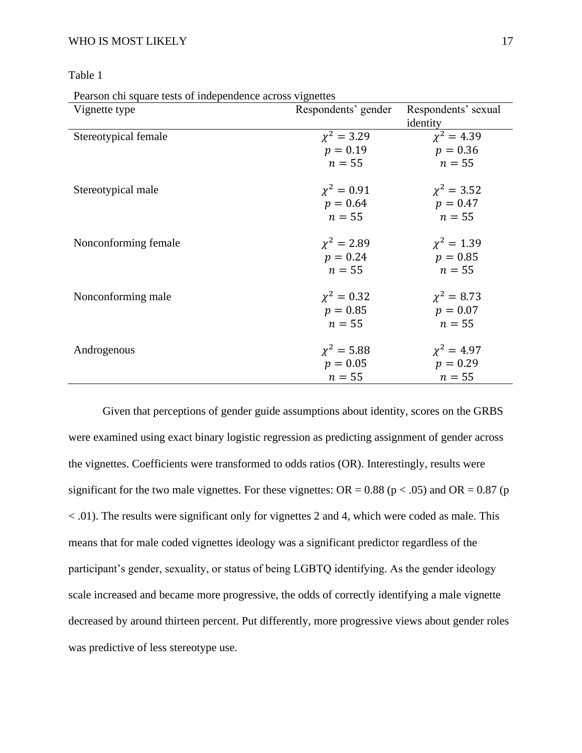| . . |
|-----|
|-----|

Pearson chi square tests of independence across vignettes

| Respondents' gender | Respondents' sexual         |
|---------------------|-----------------------------|
|                     | identity                    |
| $\chi^2 = 3.29$     | $\chi^2 = 4.39$             |
| $p = 0.19$          | $p = 0.36$                  |
| $n = 55$            | $n=55$                      |
| $\chi^2 = 0.91$     | $\chi^2 = 3.52$             |
| $p = 0.64$          | $p = 0.47$                  |
| $n = 55$            | $n=55$                      |
| $\chi^2 = 2.89$     | $\chi^2 = 1.39$             |
| $p = 0.24$          | $p = 0.85$                  |
|                     | $n=55$                      |
| $\chi^2 = 0.32$     | $\chi^2 = 8.73$             |
| $p = 0.85$          | $p = 0.07$                  |
| $n = 55$            | $n=55$                      |
|                     | $\chi^2 = 4.97$             |
| $p = 0.05$          | $p = 0.29$                  |
| $n=55$              | $n=55$                      |
|                     | $n = 55$<br>$\chi^2 = 5.88$ |

Given that perceptions of gender guide assumptions about identity, scores on the GRBS were examined using exact binary logistic regression as predicting assignment of gender across the vignettes. Coefficients were transformed to odds ratios (OR). Interestingly, results were significant for the two male vignettes. For these vignettes:  $OR = 0.88$  ( $p < .05$ ) and  $OR = 0.87$  ( $p$ ) < .01). The results were significant only for vignettes 2 and 4, which were coded as male. This means that for male coded vignettes ideology was a significant predictor regardless of the participant's gender, sexuality, or status of being LGBTQ identifying. As the gender ideology scale increased and became more progressive, the odds of correctly identifying a male vignette decreased by around thirteen percent. Put differently, more progressive views about gender roles was predictive of less stereotype use.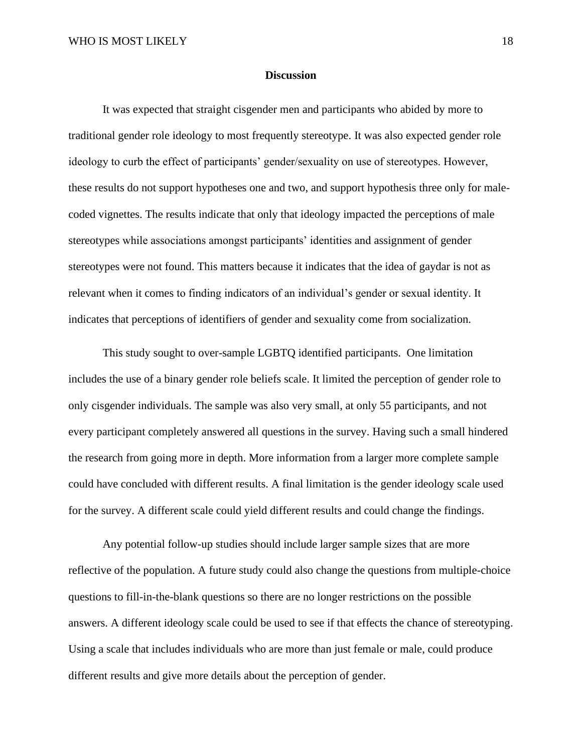#### **Discussion**

It was expected that straight cisgender men and participants who abided by more to traditional gender role ideology to most frequently stereotype. It was also expected gender role ideology to curb the effect of participants' gender/sexuality on use of stereotypes. However, these results do not support hypotheses one and two, and support hypothesis three only for malecoded vignettes. The results indicate that only that ideology impacted the perceptions of male stereotypes while associations amongst participants' identities and assignment of gender stereotypes were not found. This matters because it indicates that the idea of gaydar is not as relevant when it comes to finding indicators of an individual's gender or sexual identity. It indicates that perceptions of identifiers of gender and sexuality come from socialization.

This study sought to over-sample LGBTQ identified participants. One limitation includes the use of a binary gender role beliefs scale. It limited the perception of gender role to only cisgender individuals. The sample was also very small, at only 55 participants, and not every participant completely answered all questions in the survey. Having such a small hindered the research from going more in depth. More information from a larger more complete sample could have concluded with different results. A final limitation is the gender ideology scale used for the survey. A different scale could yield different results and could change the findings.

Any potential follow-up studies should include larger sample sizes that are more reflective of the population. A future study could also change the questions from multiple-choice questions to fill-in-the-blank questions so there are no longer restrictions on the possible answers. A different ideology scale could be used to see if that effects the chance of stereotyping. Using a scale that includes individuals who are more than just female or male, could produce different results and give more details about the perception of gender.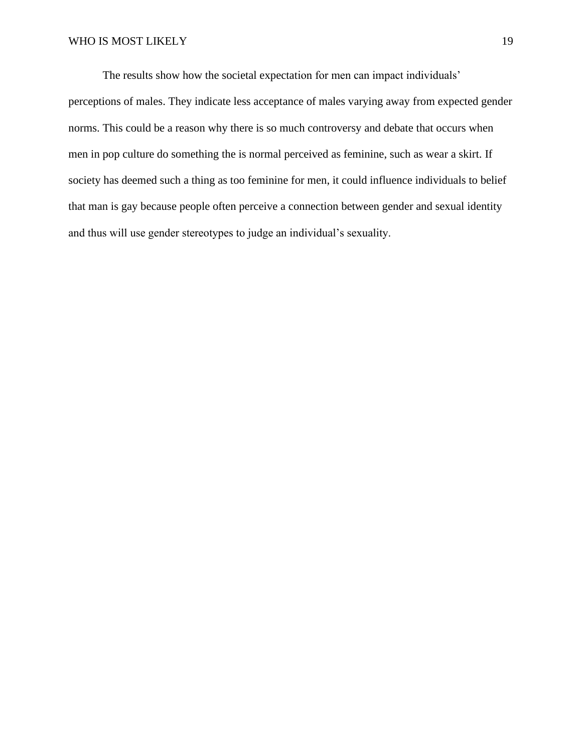The results show how the societal expectation for men can impact individuals' perceptions of males. They indicate less acceptance of males varying away from expected gender norms. This could be a reason why there is so much controversy and debate that occurs when men in pop culture do something the is normal perceived as feminine, such as wear a skirt. If society has deemed such a thing as too feminine for men, it could influence individuals to belief that man is gay because people often perceive a connection between gender and sexual identity and thus will use gender stereotypes to judge an individual's sexuality.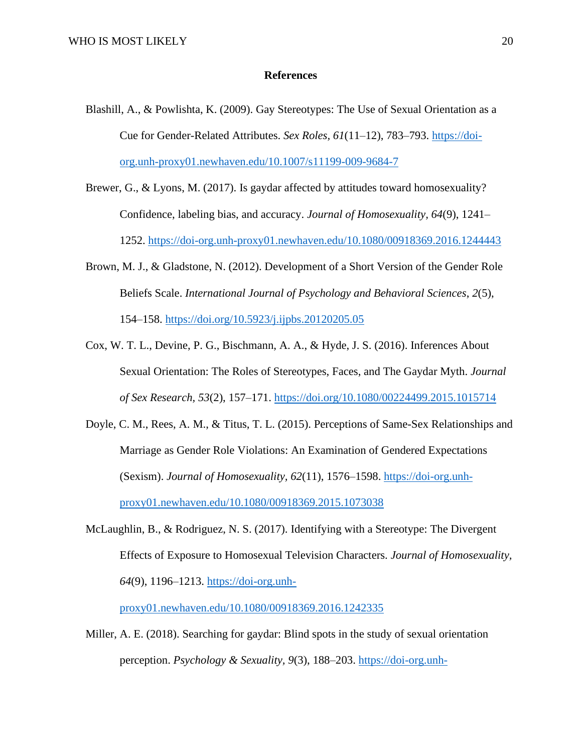#### **References**

- Blashill, A., & Powlishta, K. (2009). Gay Stereotypes: The Use of Sexual Orientation as a Cue for Gender-Related Attributes. *Sex Roles, 61*(11–12), 783–793. [https://doi](https://doi-org.unh-proxy01.newhaven.edu/10.1007/s11199-009-9684-7)[org.unh-proxy01.newhaven.edu/10.1007/s11199-009-9684-7](https://doi-org.unh-proxy01.newhaven.edu/10.1007/s11199-009-9684-7)
- Brewer, G., & Lyons, M. (2017). Is gaydar affected by attitudes toward homosexuality? Confidence, labeling bias, and accuracy. *Journal of Homosexuality, 64*(9), 1241– 1252.<https://doi-org.unh-proxy01.newhaven.edu/10.1080/00918369.2016.1244443>
- Brown, M. J., & Gladstone, N. (2012). Development of a Short Version of the Gender Role Beliefs Scale. *International Journal of Psychology and Behavioral Sciences*, *2*(5), 154–158.<https://doi.org/10.5923/j.ijpbs.20120205.05>
- Cox, W. T. L., Devine, P. G., Bischmann, A. A., & Hyde, J. S. (2016). Inferences About Sexual Orientation: The Roles of Stereotypes, Faces, and The Gaydar Myth. *Journal of Sex Research, 53*(2), 157–171.<https://doi.org/10.1080/00224499.2015.1015714>
- Doyle, C. M., Rees, A. M., & Titus, T. L. (2015). Perceptions of Same-Sex Relationships and Marriage as Gender Role Violations: An Examination of Gendered Expectations (Sexism). *Journal of Homosexuality, 62*(11), 1576–1598. [https://doi-org.unh](https://doi-org.unh-proxy01.newhaven.edu/10.1080/00918369.2015.1073038)[proxy01.newhaven.edu/10.1080/00918369.2015.1073038](https://doi-org.unh-proxy01.newhaven.edu/10.1080/00918369.2015.1073038)
- McLaughlin, B., & Rodriguez, N. S. (2017). Identifying with a Stereotype: The Divergent Effects of Exposure to Homosexual Television Characters. *Journal of Homosexuality, 64*(9), 1196–1213. [https://doi-org.unh-](https://doi-org.unh-proxy01.newhaven.edu/10.1080/00918369.2016.1242335)

[proxy01.newhaven.edu/10.1080/00918369.2016.1242335](https://doi-org.unh-proxy01.newhaven.edu/10.1080/00918369.2016.1242335)

Miller, A. E. (2018). Searching for gaydar: Blind spots in the study of sexual orientation perception. *Psychology & Sexuality, 9*(3), 188–203. [https://doi-org.unh-](https://doi-org.unh-proxy01.newhaven.edu/10.1080/19419899.2018.1468353)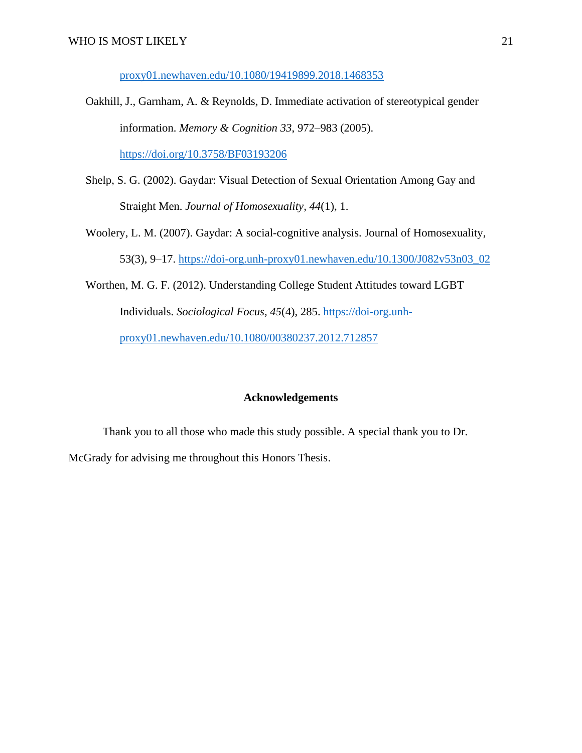[proxy01.newhaven.edu/10.1080/19419899.2018.1468353](https://doi-org.unh-proxy01.newhaven.edu/10.1080/19419899.2018.1468353)

- Oakhill, J., Garnham, A. & Reynolds, D. Immediate activation of stereotypical gender information. *Memory & Cognition 33*, 972–983 (2005). <https://doi.org/10.3758/BF03193206>
- Shelp, S. G. (2002). Gaydar: Visual Detection of Sexual Orientation Among Gay and Straight Men. *Journal of Homosexuality, 44*(1), 1.
- Woolery, L. M. (2007). Gaydar: A social-cognitive analysis. Journal of Homosexuality, 53(3), 9–17. [https://doi-org.unh-proxy01.newhaven.edu/10.1300/J082v53n03\\_02](https://doi-org.unh-proxy01.newhaven.edu/10.1300/J082v53n03_02)
- Worthen, M. G. F. (2012). Understanding College Student Attitudes toward LGBT Individuals. *Sociological Focus, 45*(4), 285. [https://doi-org.unh](https://doi-org.unh-proxy01.newhaven.edu/10.1080/00380237.2012.712857)[proxy01.newhaven.edu/10.1080/00380237.2012.712857](https://doi-org.unh-proxy01.newhaven.edu/10.1080/00380237.2012.712857)

#### **Acknowledgements**

Thank you to all those who made this study possible. A special thank you to Dr. McGrady for advising me throughout this Honors Thesis.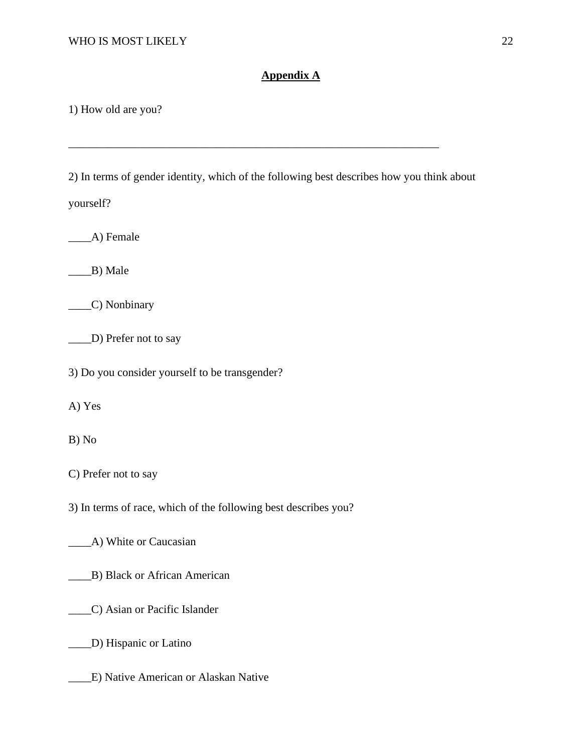#### **Appendix A**

1) How old are you?

2) In terms of gender identity, which of the following best describes how you think about

\_\_\_\_\_\_\_\_\_\_\_\_\_\_\_\_\_\_\_\_\_\_\_\_\_\_\_\_\_\_\_\_\_\_\_\_\_\_\_\_\_\_\_\_\_\_\_\_\_\_\_\_\_\_\_\_\_\_\_\_\_\_\_\_\_

yourself?

\_\_\_\_A) Female

 $\_\_B)$  Male

\_\_\_\_C) Nonbinary

\_\_\_\_D) Prefer not to say

3) Do you consider yourself to be transgender?

A) Yes

B) No

C) Prefer not to say

3) In terms of race, which of the following best describes you?

\_\_\_\_A) White or Caucasian

\_\_\_\_B) Black or African American

\_\_\_\_C) Asian or Pacific Islander

\_\_\_\_D) Hispanic or Latino

\_\_\_\_E) Native American or Alaskan Native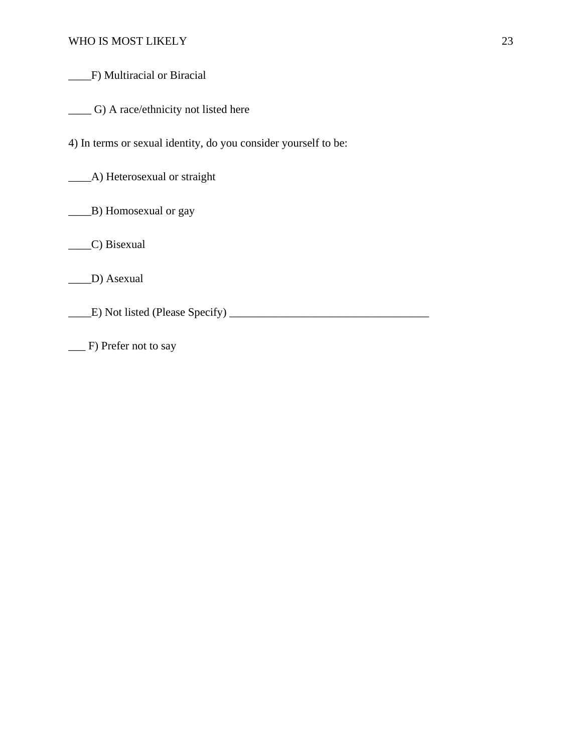\_\_\_\_F) Multiracial or Biracial

\_\_\_\_ G) A race/ethnicity not listed here

4) In terms or sexual identity, do you consider yourself to be:

\_\_\_\_A) Heterosexual or straight

\_\_\_\_B) Homosexual or gay

\_\_\_\_C) Bisexual

\_\_\_\_D) Asexual

\_\_\_\_E) Not listed (Please Specify) \_\_\_\_\_\_\_\_\_\_\_\_\_\_\_\_\_\_\_\_\_\_\_\_\_\_\_\_\_\_\_\_\_\_\_

\_\_\_ F) Prefer not to say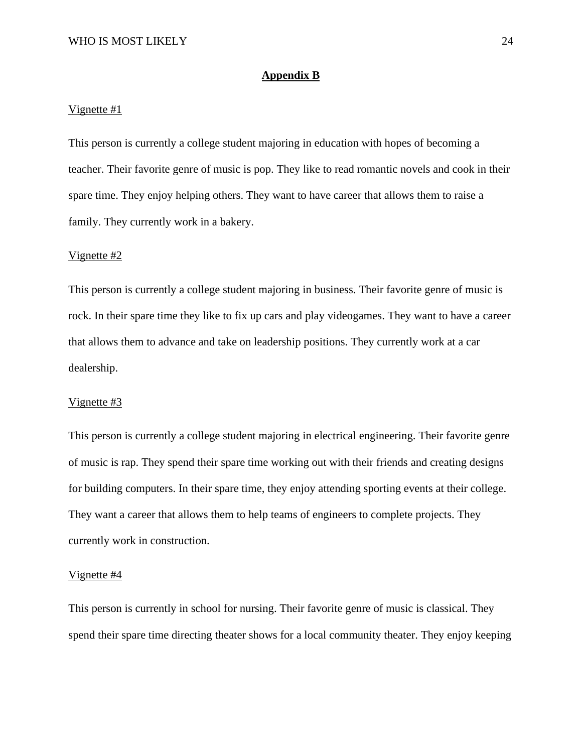#### **Appendix B**

#### Vignette #1

This person is currently a college student majoring in education with hopes of becoming a teacher. Their favorite genre of music is pop. They like to read romantic novels and cook in their spare time. They enjoy helping others. They want to have career that allows them to raise a family. They currently work in a bakery.

#### Vignette #2

This person is currently a college student majoring in business. Their favorite genre of music is rock. In their spare time they like to fix up cars and play videogames. They want to have a career that allows them to advance and take on leadership positions. They currently work at a car dealership.

#### Vignette #3

This person is currently a college student majoring in electrical engineering. Their favorite genre of music is rap. They spend their spare time working out with their friends and creating designs for building computers. In their spare time, they enjoy attending sporting events at their college. They want a career that allows them to help teams of engineers to complete projects. They currently work in construction.

#### Vignette #4

This person is currently in school for nursing. Their favorite genre of music is classical. They spend their spare time directing theater shows for a local community theater. They enjoy keeping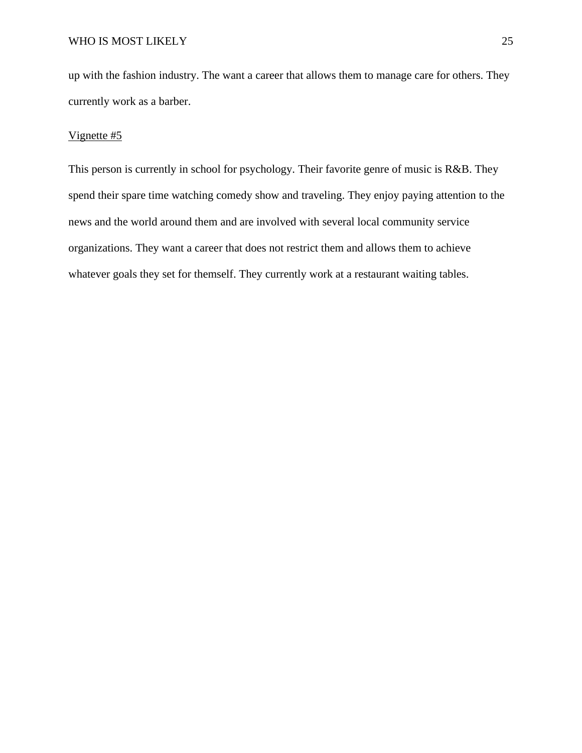up with the fashion industry. The want a career that allows them to manage care for others. They currently work as a barber.

#### Vignette #5

This person is currently in school for psychology. Their favorite genre of music is R&B. They spend their spare time watching comedy show and traveling. They enjoy paying attention to the news and the world around them and are involved with several local community service organizations. They want a career that does not restrict them and allows them to achieve whatever goals they set for themself. They currently work at a restaurant waiting tables.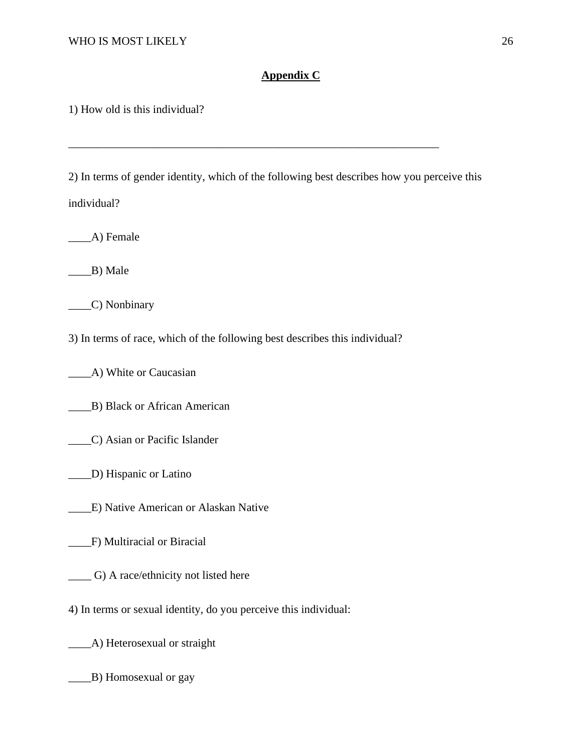#### **Appendix C**

1) How old is this individual?

2) In terms of gender identity, which of the following best describes how you perceive this individual?

\_\_\_\_\_\_\_\_\_\_\_\_\_\_\_\_\_\_\_\_\_\_\_\_\_\_\_\_\_\_\_\_\_\_\_\_\_\_\_\_\_\_\_\_\_\_\_\_\_\_\_\_\_\_\_\_\_\_\_\_\_\_\_\_\_

\_\_\_\_A) Female

 $\_\$ {B}) Male

\_\_\_\_C) Nonbinary

3) In terms of race, which of the following best describes this individual?

\_\_\_\_A) White or Caucasian

\_\_\_\_B) Black or African American

\_\_\_\_C) Asian or Pacific Islander

\_\_\_\_D) Hispanic or Latino

\_\_\_\_E) Native American or Alaskan Native

\_\_\_\_F) Multiracial or Biracial

\_\_\_\_ G) A race/ethnicity not listed here

4) In terms or sexual identity, do you perceive this individual:

\_\_\_\_A) Heterosexual or straight

\_\_\_\_B) Homosexual or gay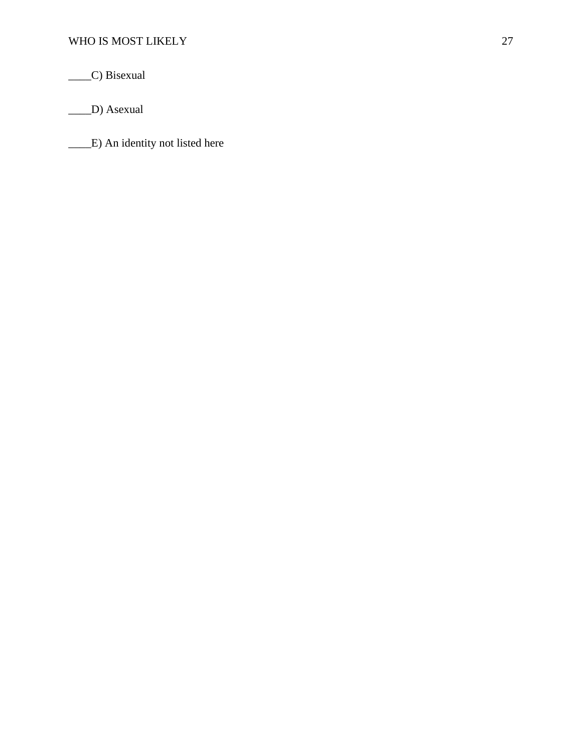\_\_\_\_C) Bisexual

\_\_\_\_D) Asexual

\_\_\_\_E) An identity not listed here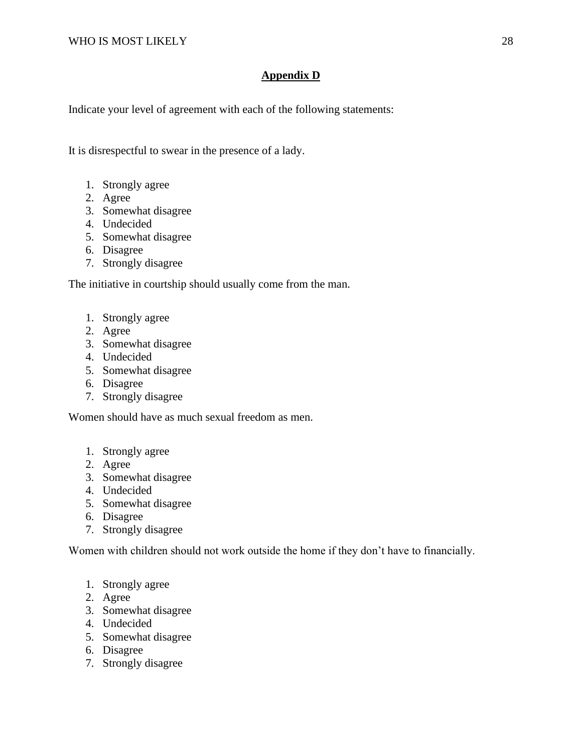### **Appendix D**

Indicate your level of agreement with each of the following statements:

It is disrespectful to swear in the presence of a lady.

- 1. Strongly agree
- 2. Agree
- 3. Somewhat disagree
- 4. Undecided
- 5. Somewhat disagree
- 6. Disagree
- 7. Strongly disagree

The initiative in courtship should usually come from the man.

- 1. Strongly agree
- 2. Agree
- 3. Somewhat disagree
- 4. Undecided
- 5. Somewhat disagree
- 6. Disagree
- 7. Strongly disagree

Women should have as much sexual freedom as men.

- 1. Strongly agree
- 2. Agree
- 3. Somewhat disagree
- 4. Undecided
- 5. Somewhat disagree
- 6. Disagree
- 7. Strongly disagree

Women with children should not work outside the home if they don't have to financially.

- 1. Strongly agree
- 2. Agree
- 3. Somewhat disagree
- 4. Undecided
- 5. Somewhat disagree
- 6. Disagree
- 7. Strongly disagree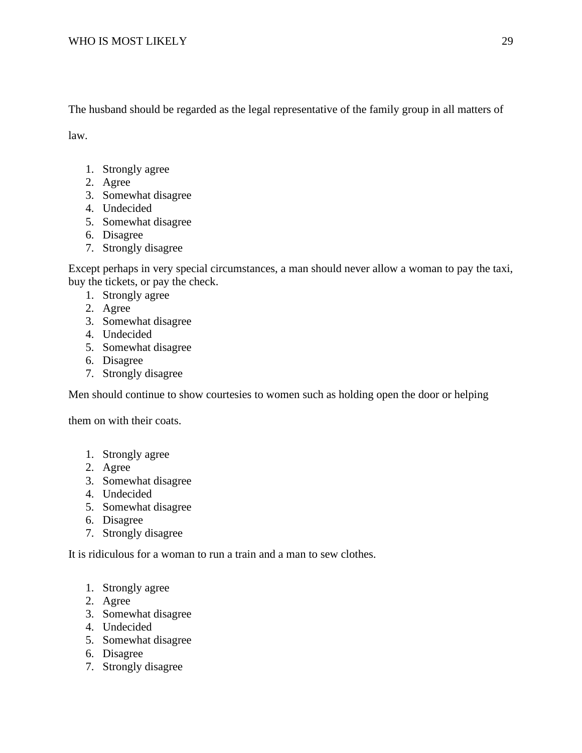The husband should be regarded as the legal representative of the family group in all matters of

law.

- 1. Strongly agree
- 2. Agree
- 3. Somewhat disagree
- 4. Undecided
- 5. Somewhat disagree
- 6. Disagree
- 7. Strongly disagree

Except perhaps in very special circumstances, a man should never allow a woman to pay the taxi, buy the tickets, or pay the check.

- 1. Strongly agree
- 2. Agree
- 3. Somewhat disagree
- 4. Undecided
- 5. Somewhat disagree
- 6. Disagree
- 7. Strongly disagree

Men should continue to show courtesies to women such as holding open the door or helping

them on with their coats.

- 1. Strongly agree
- 2. Agree
- 3. Somewhat disagree
- 4. Undecided
- 5. Somewhat disagree
- 6. Disagree
- 7. Strongly disagree

It is ridiculous for a woman to run a train and a man to sew clothes.

- 1. Strongly agree
- 2. Agree
- 3. Somewhat disagree
- 4. Undecided
- 5. Somewhat disagree
- 6. Disagree
- 7. Strongly disagree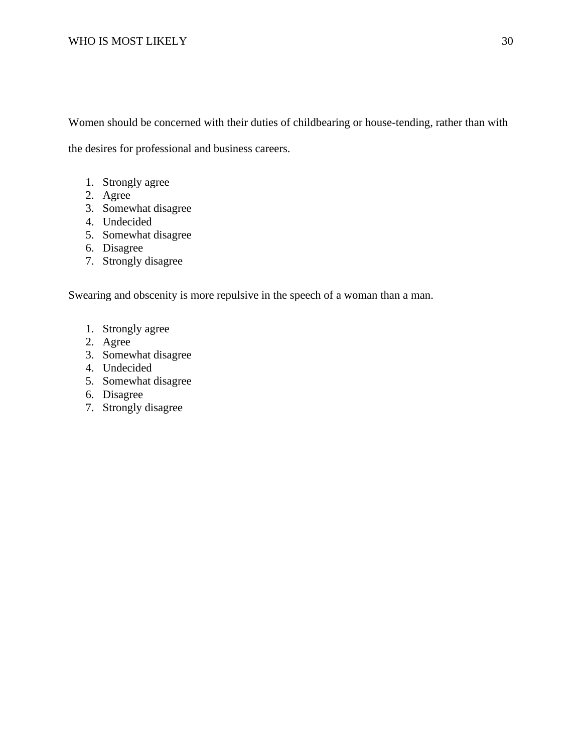Women should be concerned with their duties of childbearing or house-tending, rather than with the desires for professional and business careers.

- 1. Strongly agree
- 2. Agree
- 3. Somewhat disagree
- 4. Undecided
- 5. Somewhat disagree
- 6. Disagree
- 7. Strongly disagree

Swearing and obscenity is more repulsive in the speech of a woman than a man.

- 1. Strongly agree
- 2. Agree
- 3. Somewhat disagree
- 4. Undecided
- 5. Somewhat disagree
- 6. Disagree
- 7. Strongly disagree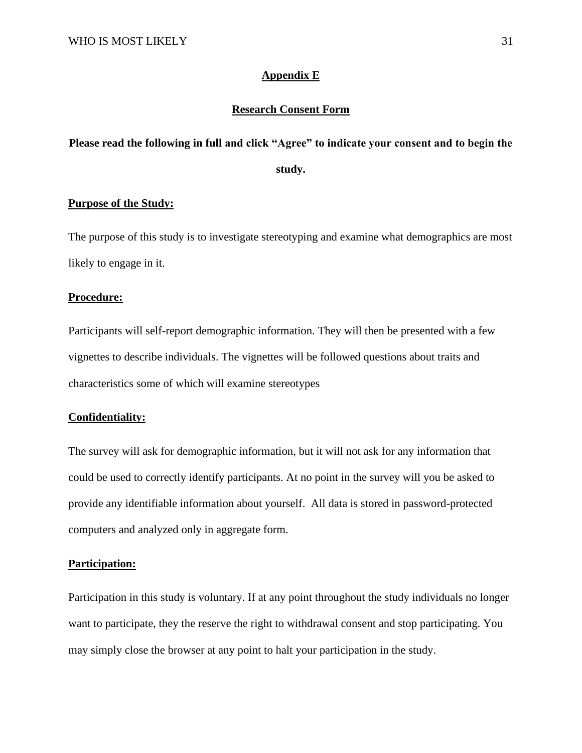#### **Appendix E**

#### **Research Consent Form**

# **Please read the following in full and click "Agree" to indicate your consent and to begin the study.**

#### **Purpose of the Study:**

The purpose of this study is to investigate stereotyping and examine what demographics are most likely to engage in it.

#### **Procedure:**

Participants will self-report demographic information. They will then be presented with a few vignettes to describe individuals. The vignettes will be followed questions about traits and characteristics some of which will examine stereotypes

#### **Confidentiality:**

The survey will ask for demographic information, but it will not ask for any information that could be used to correctly identify participants. At no point in the survey will you be asked to provide any identifiable information about yourself. All data is stored in password-protected computers and analyzed only in aggregate form.

#### **Participation:**

Participation in this study is voluntary. If at any point throughout the study individuals no longer want to participate, they the reserve the right to withdrawal consent and stop participating. You may simply close the browser at any point to halt your participation in the study.